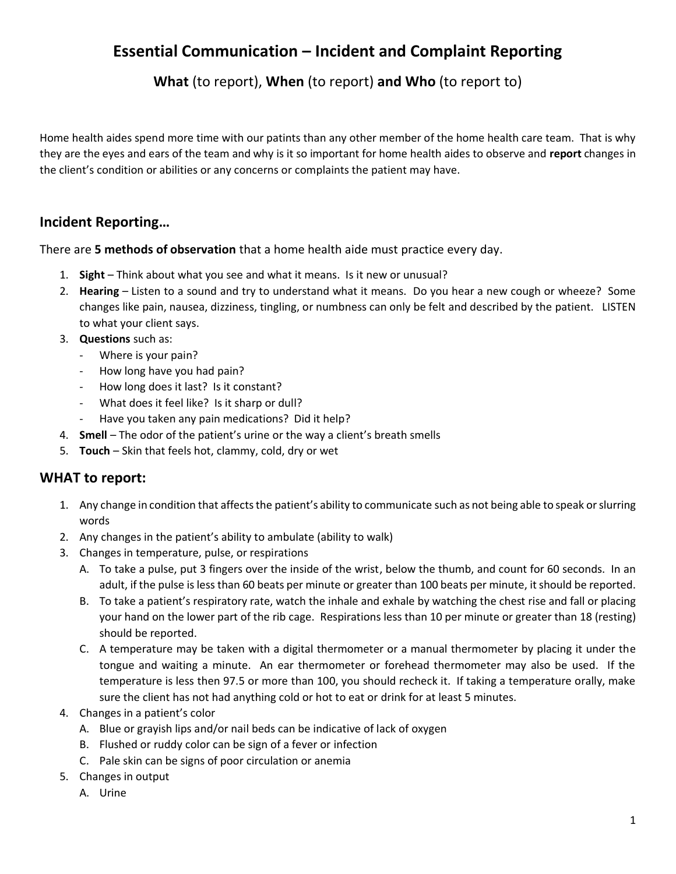# **Essential Communication – Incident and Complaint Reporting**

**What** (to report), **When** (to report) **and Who** (to report to)

Home health aides spend more time with our patints than any other member of the home health care team. That is why they are the eyes and ears of the team and why is it so important for home health aides to observe and **report** changes in the client's condition or abilities or any concerns or complaints the patient may have.

## **Incident Reporting…**

There are **5 methods of observation** that a home health aide must practice every day.

- 1. **Sight**  Think about what you see and what it means. Is it new or unusual?
- 2. **Hearing**  Listen to a sound and try to understand what it means. Do you hear a new cough or wheeze? Some changes like pain, nausea, dizziness, tingling, or numbness can only be felt and described by the patient. LISTEN to what your client says.
- 3. **Questions** such as:
	- Where is your pain?
	- How long have you had pain?
	- How long does it last? Is it constant?
	- What does it feel like? Is it sharp or dull?
		- Have you taken any pain medications? Did it help?
- 4. **Smell** The odor of the patient's urine or the way a client's breath smells
- 5. **Touch**  Skin that feels hot, clammy, cold, dry or wet

## **WHAT to report:**

- 1. Any change in condition that affects the patient's ability to communicate such as not being able to speak or slurring words
- 2. Any changes in the patient's ability to ambulate (ability to walk)
- 3. Changes in temperature, pulse, or respirations
	- A. To take a pulse, put 3 fingers over the inside of the wrist, below the thumb, and count for 60 seconds. In an adult, if the pulse is less than 60 beats per minute or greater than 100 beats per minute, it should be reported.
	- B. To take a patient's respiratory rate, watch the inhale and exhale by watching the chest rise and fall or placing your hand on the lower part of the rib cage. Respirations less than 10 per minute or greater than 18 (resting) should be reported.
	- C. A temperature may be taken with a digital thermometer or a manual thermometer by placing it under the tongue and waiting a minute. An ear thermometer or forehead thermometer may also be used. If the temperature is less then 97.5 or more than 100, you should recheck it. If taking a temperature orally, make sure the client has not had anything cold or hot to eat or drink for at least 5 minutes.
- 4. Changes in a patient's color
	- A. Blue or grayish lips and/or nail beds can be indicative of lack of oxygen
	- B. Flushed or ruddy color can be sign of a fever or infection
	- C. Pale skin can be signs of poor circulation or anemia
- 5. Changes in output
	- A. Urine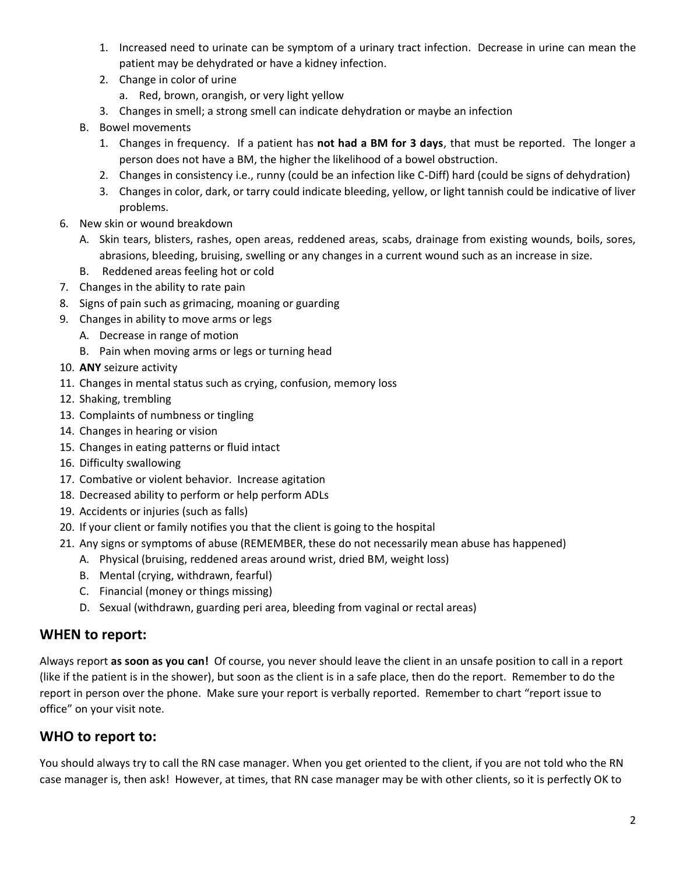- 1. Increased need to urinate can be symptom of a urinary tract infection. Decrease in urine can mean the patient may be dehydrated or have a kidney infection.
- 2. Change in color of urine
	- a. Red, brown, orangish, or very light yellow
- 3. Changes in smell; a strong smell can indicate dehydration or maybe an infection
- B. Bowel movements
	- 1. Changes in frequency. If a patient has **not had a BM for 3 days**, that must be reported. The longer a person does not have a BM, the higher the likelihood of a bowel obstruction.
	- 2. Changes in consistency i.e., runny (could be an infection like C-Diff) hard (could be signs of dehydration)
	- 3. Changes in color, dark, or tarry could indicate bleeding, yellow, or light tannish could be indicative of liver problems.
- 6. New skin or wound breakdown
	- A. Skin tears, blisters, rashes, open areas, reddened areas, scabs, drainage from existing wounds, boils, sores, abrasions, bleeding, bruising, swelling or any changes in a current wound such as an increase in size.
	- B. Reddened areas feeling hot or cold
- 7. Changes in the ability to rate pain
- 8. Signs of pain such as grimacing, moaning or guarding
- 9. Changes in ability to move arms or legs
	- A. Decrease in range of motion
	- B. Pain when moving arms or legs or turning head
- 10. **ANY** seizure activity
- 11. Changes in mental status such as crying, confusion, memory loss
- 12. Shaking, trembling
- 13. Complaints of numbness or tingling
- 14. Changes in hearing or vision
- 15. Changes in eating patterns or fluid intact
- 16. Difficulty swallowing
- 17. Combative or violent behavior. Increase agitation
- 18. Decreased ability to perform or help perform ADLs
- 19. Accidents or injuries (such as falls)
- 20. If your client or family notifies you that the client is going to the hospital
- 21. Any signs or symptoms of abuse (REMEMBER, these do not necessarily mean abuse has happened)
	- A. Physical (bruising, reddened areas around wrist, dried BM, weight loss)
	- B. Mental (crying, withdrawn, fearful)
	- C. Financial (money or things missing)
	- D. Sexual (withdrawn, guarding peri area, bleeding from vaginal or rectal areas)

#### **WHEN to report:**

Always report **as soon as you can!** Of course, you never should leave the client in an unsafe position to call in a report (like if the patient is in the shower), but soon as the client is in a safe place, then do the report. Remember to do the report in person over the phone. Make sure your report is verbally reported. Remember to chart "report issue to office" on your visit note.

## **WHO to report to:**

You should always try to call the RN case manager. When you get oriented to the client, if you are not told who the RN case manager is, then ask! However, at times, that RN case manager may be with other clients, so it is perfectly OK to